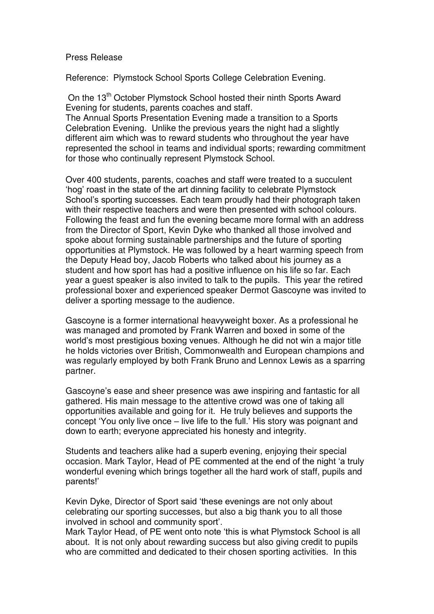## Press Release

Reference: Plymstock School Sports College Celebration Evening.

On the 13<sup>th</sup> October Plymstock School hosted their ninth Sports Award Evening for students, parents coaches and staff. The Annual Sports Presentation Evening made a transition to a Sports

Celebration Evening. Unlike the previous years the night had a slightly different aim which was to reward students who throughout the year have represented the school in teams and individual sports; rewarding commitment for those who continually represent Plymstock School.

Over 400 students, parents, coaches and staff were treated to a succulent 'hog' roast in the state of the art dinning facility to celebrate Plymstock School's sporting successes. Each team proudly had their photograph taken with their respective teachers and were then presented with school colours. Following the feast and fun the evening became more formal with an address from the Director of Sport, Kevin Dyke who thanked all those involved and spoke about forming sustainable partnerships and the future of sporting opportunities at Plymstock. He was followed by a heart warming speech from the Deputy Head boy, Jacob Roberts who talked about his journey as a student and how sport has had a positive influence on his life so far. Each year a guest speaker is also invited to talk to the pupils. This year the retired professional boxer and experienced speaker Dermot Gascoyne was invited to deliver a sporting message to the audience.

Gascoyne is a former international heavyweight boxer. As a professional he was managed and promoted by Frank Warren and boxed in some of the world's most prestigious boxing venues. Although he did not win a major title he holds victories over British, Commonwealth and European champions and was regularly employed by both Frank Bruno and Lennox Lewis as a sparring partner.

Gascoyne's ease and sheer presence was awe inspiring and fantastic for all gathered. His main message to the attentive crowd was one of taking all opportunities available and going for it. He truly believes and supports the concept 'You only live once – live life to the full.' His story was poignant and down to earth; everyone appreciated his honesty and integrity.

Students and teachers alike had a superb evening, enjoying their special occasion. Mark Taylor, Head of PE commented at the end of the night 'a truly wonderful evening which brings together all the hard work of staff, pupils and parents!'

Kevin Dyke, Director of Sport said 'these evenings are not only about celebrating our sporting successes, but also a big thank you to all those involved in school and community sport'.

Mark Taylor Head, of PE went onto note 'this is what Plymstock School is all about. It is not only about rewarding success but also giving credit to pupils who are committed and dedicated to their chosen sporting activities. In this